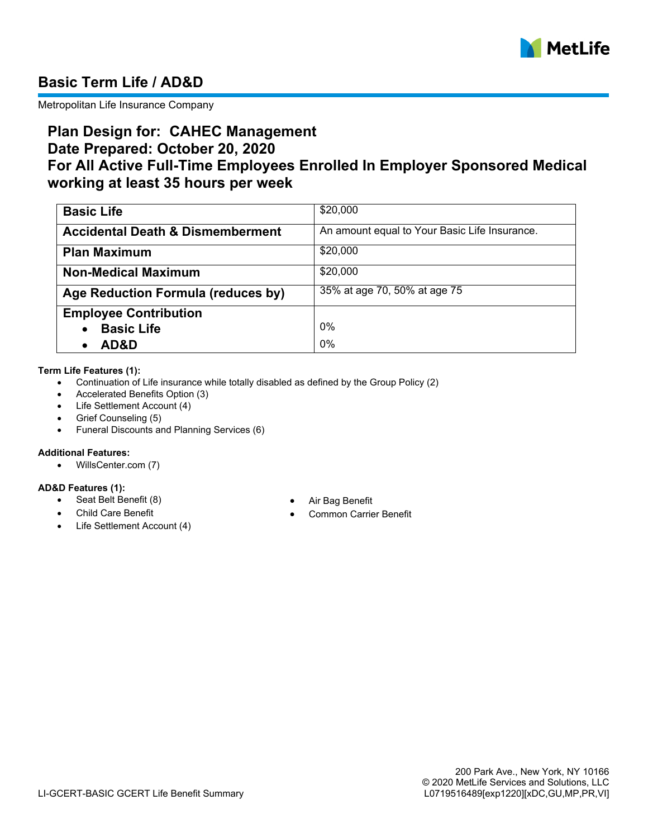

# **Basic Term Life / AD&D**

Metropolitan Life Insurance Company

# **Plan Design for: CAHEC Management Date Prepared: October 20, 2020 For All Active Full-Time Employees Enrolled In Employer Sponsored Medical working at least 35 hours per week**

| <b>Basic Life</b>                           | \$20,000                                      |
|---------------------------------------------|-----------------------------------------------|
| <b>Accidental Death &amp; Dismemberment</b> | An amount equal to Your Basic Life Insurance. |
| <b>Plan Maximum</b>                         | \$20,000                                      |
| <b>Non-Medical Maximum</b>                  | \$20,000                                      |
| Age Reduction Formula (reduces by)          | 35% at age 70, 50% at age 75                  |
| <b>Employee Contribution</b>                |                                               |
| <b>Basic Life</b>                           | 0%                                            |
| AD&D                                        | 0%                                            |

#### **Term Life Features (1):**

- · Continuation of Life insurance while totally disabled as defined by the Group Policy (2)
- Accelerated Benefits Option (3)
- · Life Settlement Account (4)
- Grief Counseling (5)
- · Funeral Discounts and Planning Services (6)

### **Additional Features:**

· WillsCenter.com (7)

### **AD&D Features (1):**

- Seat Belt Benefit (8) **· Air Bag Benefit**
- 
- Life Settlement Account (4)
- 
- **Child Care Benefit · Common Carrier Benefit**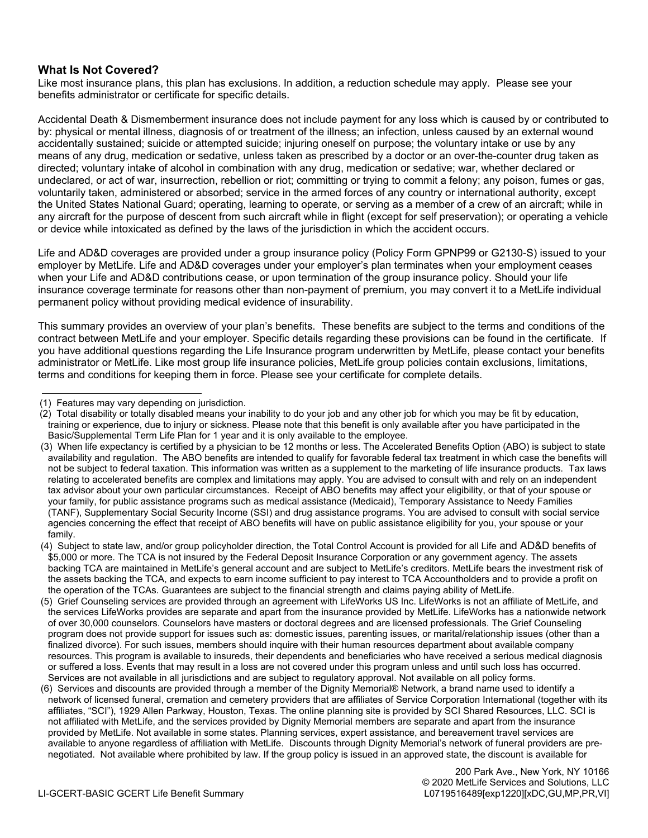### **What Is Not Covered?**

Like most insurance plans, this plan has exclusions. In addition, a reduction schedule may apply. Please see your benefits administrator or certificate for specific details.

Accidental Death & Dismemberment insurance does not include payment for any loss which is caused by or contributed to by: physical or mental illness, diagnosis of or treatment of the illness; an infection, unless caused by an external wound accidentally sustained; suicide or attempted suicide; injuring oneself on purpose; the voluntary intake or use by any means of any drug, medication or sedative, unless taken as prescribed by a doctor or an over-the-counter drug taken as directed; voluntary intake of alcohol in combination with any drug, medication or sedative; war, whether declared or undeclared, or act of war, insurrection, rebellion or riot; committing or trying to commit a felony; any poison, fumes or gas, voluntarily taken, administered or absorbed; service in the armed forces of any country or international authority, except the United States National Guard; operating, learning to operate, or serving as a member of a crew of an aircraft; while in any aircraft for the purpose of descent from such aircraft while in flight (except for self preservation); or operating a vehicle or device while intoxicated as defined by the laws of the jurisdiction in which the accident occurs.

Life and AD&D coverages are provided under a group insurance policy (Policy Form GPNP99 or G2130-S) issued to your employer by MetLife. Life and AD&D coverages under your employer's plan terminates when your employment ceases when your Life and AD&D contributions cease, or upon termination of the group insurance policy. Should your life insurance coverage terminate for reasons other than non-payment of premium, you may convert it to a MetLife individual permanent policy without providing medical evidence of insurability.

This summary provides an overview of your plan's benefits. These benefits are subject to the terms and conditions of the contract between MetLife and your employer. Specific details regarding these provisions can be found in the certificate. If you have additional questions regarding the Life Insurance program underwritten by MetLife, please contact your benefits administrator or MetLife. Like most group life insurance policies, MetLife group policies contain exclusions, limitations, terms and conditions for keeping them in force. Please see your certificate for complete details.

<sup>(1)</sup> Features may vary depending on jurisdiction.

<sup>(2)</sup> Total disability or totally disabled means your inability to do your job and any other job for which you may be fit by education, training or experience, due to injury or sickness. Please note that this benefit is only available after you have participated in the Basic/Supplemental Term Life Plan for 1 year and it is only available to the employee.

<sup>(3)</sup> When life expectancy is certified by a physician to be 12 months or less. The Accelerated Benefits Option (ABO) is subject to state availability and regulation. The ABO benefits are intended to qualify for favorable federal tax treatment in which case the benefits will not be subject to federal taxation. This information was written as a supplement to the marketing of life insurance products. Tax laws relating to accelerated benefits are complex and limitations may apply. You are advised to consult with and rely on an independent tax advisor about your own particular circumstances. Receipt of ABO benefits may affect your eligibility, or that of your spouse or your family, for public assistance programs such as medical assistance (Medicaid), Temporary Assistance to Needy Families (TANF), Supplementary Social Security Income (SSI) and drug assistance programs. You are advised to consult with social service agencies concerning the effect that receipt of ABO benefits will have on public assistance eligibility for you, your spouse or your family.

<sup>(4)</sup> Subject to state law, and/or group policyholder direction, the Total Control Account is provided for all Life and AD&D benefits of \$5,000 or more. The TCA is not insured by the Federal Deposit Insurance Corporation or any government agency. The assets backing TCA are maintained in MetLife's general account and are subject to MetLife's creditors. MetLife bears the investment risk of the assets backing the TCA, and expects to earn income sufficient to pay interest to TCA Accountholders and to provide a profit on the operation of the TCAs. Guarantees are subject to the financial strength and claims paying ability of MetLife.

<sup>(5)</sup> Grief Counseling services are provided through an agreement with LifeWorks US Inc. LifeWorks is not an affiliate of MetLife, and the services LifeWorks provides are separate and apart from the insurance provided by MetLife. LifeWorks has a nationwide network of over 30,000 counselors. Counselors have masters or doctoral degrees and are licensed professionals. The Grief Counseling program does not provide support for issues such as: domestic issues, parenting issues, or marital/relationship issues (other than a finalized divorce). For such issues, members should inquire with their human resources department about available company resources. This program is available to insureds, their dependents and beneficiaries who have received a serious medical diagnosis or suffered a loss. Events that may result in a loss are not covered under this program unless and until such loss has occurred. Services are not available in all jurisdictions and are subject to regulatory approval. Not available on all policy forms.

<sup>(6)</sup> Services and discounts are provided through a member of the Dignity Memorial® Network, a brand name used to identify a network of licensed funeral, cremation and cemetery providers that are affiliates of Service Corporation International (together with its affiliates, "SCI"), 1929 Allen Parkway, Houston, Texas. The online planning site is provided by SCI Shared Resources, LLC. SCI is not affiliated with MetLife, and the services provided by Dignity Memorial members are separate and apart from the insurance provided by MetLife. Not available in some states. Planning services, expert assistance, and bereavement travel services are available to anyone regardless of affiliation with MetLife. Discounts through Dignity Memorial's network of funeral providers are prenegotiated. Not available where prohibited by law. If the group policy is issued in an approved state, the discount is available for